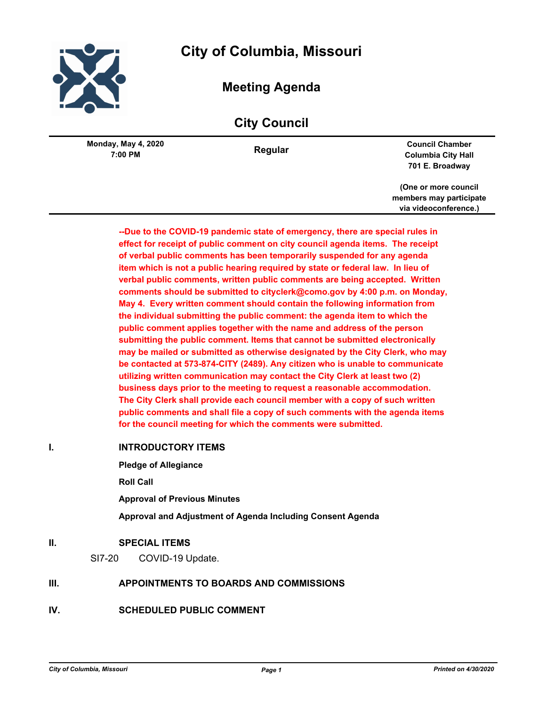

# **City of Columbia, Missouri**

## **Meeting Agenda**

## **City Council**

**7:00 PM Monday, May 4, 2020**

**Regular Council Chamber Columbia City Hall 701 E. Broadway**

> **(One or more council members may participate via videoconference.)**

**--Due to the COVID-19 pandemic state of emergency, there are special rules in effect for receipt of public comment on city council agenda items. The receipt of verbal public comments has been temporarily suspended for any agenda item which is not a public hearing required by state or federal law. In lieu of verbal public comments, written public comments are being accepted. Written comments should be submitted to cityclerk@como.gov by 4:00 p.m. on Monday, May 4. Every written comment should contain the following information from the individual submitting the public comment: the agenda item to which the public comment applies together with the name and address of the person submitting the public comment. Items that cannot be submitted electronically may be mailed or submitted as otherwise designated by the City Clerk, who may be contacted at 573-874-CITY (2489). Any citizen who is unable to communicate utilizing written communication may contact the City Clerk at least two (2) business days prior to the meeting to request a reasonable accommodation. The City Clerk shall provide each council member with a copy of such written public comments and shall file a copy of such comments with the agenda items for the council meeting for which the comments were submitted.**

## **I. INTRODUCTORY ITEMS**

**Pledge of Allegiance**

**Roll Call**

**Approval of Previous Minutes**

**Approval and Adjustment of Agenda Including Consent Agenda**

## **II. SPECIAL ITEMS**

SI7-20 COVID-19 Update.

## **III. APPOINTMENTS TO BOARDS AND COMMISSIONS**

**IV. SCHEDULED PUBLIC COMMENT**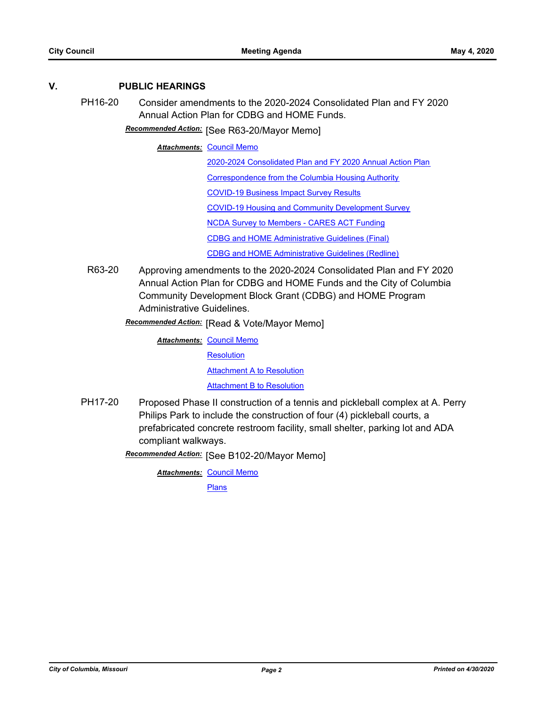## **V. PUBLIC HEARINGS**

PH16-20 Consider amendments to the 2020-2024 Consolidated Plan and FY 2020 Annual Action Plan for CDBG and HOME Funds.

[See R63-20/Mayor Memo] *Recommended Action:*

**Attachments: [Council Memo](http://gocolumbiamo.legistar.com/gateway.aspx?M=F&ID=fb7d84a5-d51c-401a-8d29-7c0eacafade9.docx)** 

[2020-2024 Consolidated Plan and FY 2020 Annual Action Plan](http://gocolumbiamo.legistar.com/gateway.aspx?M=F&ID=3e185d4f-8a67-475e-92da-fe8e51e5a9ee.pdf)

[Correspondence from the Columbia Housing Authority](http://gocolumbiamo.legistar.com/gateway.aspx?M=F&ID=f773c687-49bc-4063-8bd3-4e8cde373d7b.pdf)

[COVID-19 Business Impact Survey Results](http://gocolumbiamo.legistar.com/gateway.aspx?M=F&ID=856fee26-7504-4200-9a70-fd312b0fa1c3.pdf)

[COVID-19 Housing and Community Development Survey](http://gocolumbiamo.legistar.com/gateway.aspx?M=F&ID=f7bf7e5d-1713-4d5a-91b8-c606622d3a08.pdf)

[NCDA Survey to Members - CARES ACT Funding](http://gocolumbiamo.legistar.com/gateway.aspx?M=F&ID=b02b4e77-71be-4b23-867b-1d6bb6040d34.pdf)

[CDBG and HOME Administrative Guidelines \(Final\)](http://gocolumbiamo.legistar.com/gateway.aspx?M=F&ID=069e5a2b-7396-44fe-a721-e3b3c213c196.docx)

[CDBG and HOME Administrative Guidelines \(Redline\)](http://gocolumbiamo.legistar.com/gateway.aspx?M=F&ID=bc48853d-a472-4807-b904-07991b1c8ab8.pdf)

- R63-20 Approving amendments to the 2020-2024 Consolidated Plan and FY 2020 Annual Action Plan for CDBG and HOME Funds and the City of Columbia Community Development Block Grant (CDBG) and HOME Program Administrative Guidelines.
	- **Recommended Action:** [Read & Vote/Mayor Memo]

**Attachments: [Council Memo](http://gocolumbiamo.legistar.com/gateway.aspx?M=F&ID=7ad70197-02ea-4400-b422-e7519d5de411.docx) [Resolution](http://gocolumbiamo.legistar.com/gateway.aspx?M=F&ID=a234df9f-da9a-4e6d-a335-23474c50d1e8.doc) [Attachment A to Resolution](http://gocolumbiamo.legistar.com/gateway.aspx?M=F&ID=929c5b12-4188-4366-b4b7-2c912b8713bf.pdf)** [Attachment B to Resolution](http://gocolumbiamo.legistar.com/gateway.aspx?M=F&ID=1ecbf21e-3005-458e-8c0e-dbe786491bad.docx)

PH17-20 Proposed Phase II construction of a tennis and pickleball complex at A. Perry Philips Park to include the construction of four (4) pickleball courts, a prefabricated concrete restroom facility, small shelter, parking lot and ADA compliant walkways.

[See B102-20/Mayor Memo] *Recommended Action:*

**Attachments: [Council Memo](http://gocolumbiamo.legistar.com/gateway.aspx?M=F&ID=e033f4e8-1948-4160-9143-5c6971b57e6a.docx)** 

[Plans](http://gocolumbiamo.legistar.com/gateway.aspx?M=F&ID=969a5cea-b841-41f3-a08e-c3de3b301612.pdf)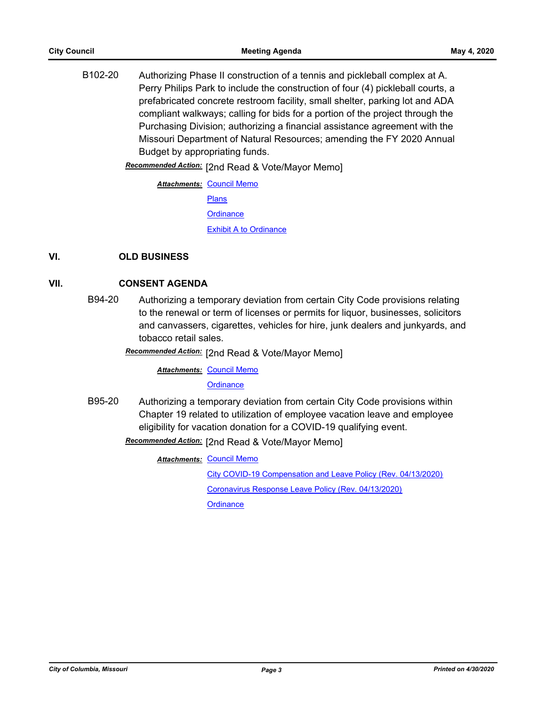B102-20 Authorizing Phase II construction of a tennis and pickleball complex at A. Perry Philips Park to include the construction of four (4) pickleball courts, a prefabricated concrete restroom facility, small shelter, parking lot and ADA compliant walkways; calling for bids for a portion of the project through the Purchasing Division; authorizing a financial assistance agreement with the Missouri Department of Natural Resources; amending the FY 2020 Annual Budget by appropriating funds.

Recommended Action: [2nd Read & Vote/Mayor Memo]

**Attachments: [Council Memo](http://gocolumbiamo.legistar.com/gateway.aspx?M=F&ID=03cac7a9-1ce4-4cc7-8a2e-951bbad99c79.docx)** [Plans](http://gocolumbiamo.legistar.com/gateway.aspx?M=F&ID=b434c790-1e12-4806-986f-e1026693b2ca.pdf) **[Ordinance](http://gocolumbiamo.legistar.com/gateway.aspx?M=F&ID=a1517067-f041-49a0-aa6f-7b018375d4f2.doc)** [Exhibit A to Ordinance](http://gocolumbiamo.legistar.com/gateway.aspx?M=F&ID=c780aa6f-bf35-4442-955e-48cbdb6d6d51.pdf)

## **VI. OLD BUSINESS**

#### **VII. CONSENT AGENDA**

B94-20 Authorizing a temporary deviation from certain City Code provisions relating to the renewal or term of licenses or permits for liquor, businesses, solicitors and canvassers, cigarettes, vehicles for hire, junk dealers and junkyards, and tobacco retail sales.

## [2nd Read & Vote/Mayor Memo] *Recommended Action:*

**Attachments: [Council Memo](http://gocolumbiamo.legistar.com/gateway.aspx?M=F&ID=08555827-919e-4532-a069-34378807dac2.docx)** 

#### **[Ordinance](http://gocolumbiamo.legistar.com/gateway.aspx?M=F&ID=090bba20-31fe-4ed8-a62c-e5c9ae3d9e81.doc)**

B95-20 Authorizing a temporary deviation from certain City Code provisions within Chapter 19 related to utilization of employee vacation leave and employee eligibility for vacation donation for a COVID-19 qualifying event.

## **Recommended Action:** [2nd Read & Vote/Mayor Memo]

**Attachments: [Council Memo](http://gocolumbiamo.legistar.com/gateway.aspx?M=F&ID=4542c752-132f-4fd8-ad60-1f7a0b1f96f6.docx)** 

[City COVID-19 Compensation and Leave Policy \(Rev. 04/13/2020\)](http://gocolumbiamo.legistar.com/gateway.aspx?M=F&ID=27739042-5430-4a0f-8b99-c805a8526c4d.pdf)

[Coronavirus Response Leave Policy \(Rev. 04/13/2020\)](http://gocolumbiamo.legistar.com/gateway.aspx?M=F&ID=c1d9dd0b-edd4-4f8b-af5b-75316ea8db84.pdf)

**[Ordinance](http://gocolumbiamo.legistar.com/gateway.aspx?M=F&ID=bd8c293b-bcdc-400c-a50d-8320c0518561.doc)**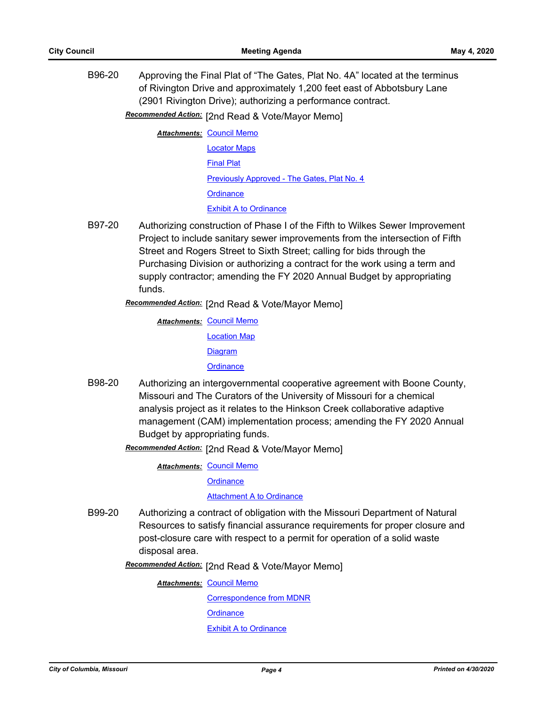B96-20 Approving the Final Plat of "The Gates, Plat No. 4A" located at the terminus of Rivington Drive and approximately 1,200 feet east of Abbotsbury Lane (2901 Rivington Drive); authorizing a performance contract.

Recommended Action: [2nd Read & Vote/Mayor Memo]

- **Attachments: [Council Memo](http://gocolumbiamo.legistar.com/gateway.aspx?M=F&ID=654576e4-61aa-410a-a460-ae35d723c65d.docx)** [Locator Maps](http://gocolumbiamo.legistar.com/gateway.aspx?M=F&ID=2bb288cd-6653-4a9f-9906-14d0eca59ecd.pdf) [Final Plat](http://gocolumbiamo.legistar.com/gateway.aspx?M=F&ID=47fda822-943c-4a9c-9bd3-8e41a43dffb7.pdf) [Previously Approved - The Gates, Plat No. 4](http://gocolumbiamo.legistar.com/gateway.aspx?M=F&ID=f9009453-7bf1-45b3-b4c2-14943f2a3b58.pdf) **[Ordinance](http://gocolumbiamo.legistar.com/gateway.aspx?M=F&ID=4a554a14-3231-467e-ae80-c50d2d33a9dc.doc)** [Exhibit A to Ordinance](http://gocolumbiamo.legistar.com/gateway.aspx?M=F&ID=3e61b466-0b2f-4c95-9b41-8e681f45a675.pdf)
- B97-20 Authorizing construction of Phase I of the Fifth to Wilkes Sewer Improvement Project to include sanitary sewer improvements from the intersection of Fifth Street and Rogers Street to Sixth Street; calling for bids through the Purchasing Division or authorizing a contract for the work using a term and supply contractor; amending the FY 2020 Annual Budget by appropriating funds.

Recommended Action: [2nd Read & Vote/Mayor Memo]

- **Attachments: [Council Memo](http://gocolumbiamo.legistar.com/gateway.aspx?M=F&ID=06cc86b7-3f92-4365-91a7-4516bc67df05.docx)** [Location Map](http://gocolumbiamo.legistar.com/gateway.aspx?M=F&ID=6f1fa587-3619-44a2-a6ba-33144c443f2e.pdf) [Diagram](http://gocolumbiamo.legistar.com/gateway.aspx?M=F&ID=970b16c6-b607-456d-8f11-baad75f74da9.pdf) **[Ordinance](http://gocolumbiamo.legistar.com/gateway.aspx?M=F&ID=66a47d29-5fb2-4b01-a25d-a2b1cdfaad8f.doc)**
- B98-20 Authorizing an intergovernmental cooperative agreement with Boone County, Missouri and The Curators of the University of Missouri for a chemical analysis project as it relates to the Hinkson Creek collaborative adaptive management (CAM) implementation process; amending the FY 2020 Annual Budget by appropriating funds.

Recommended Action: [2nd Read & Vote/Mayor Memo]

**Attachments: [Council Memo](http://gocolumbiamo.legistar.com/gateway.aspx?M=F&ID=069be5ce-befd-4fef-957e-b8cbcb60f99e.docx)** 

**[Ordinance](http://gocolumbiamo.legistar.com/gateway.aspx?M=F&ID=681fe319-40a2-4271-a907-82ef88d82646.doc)** 

**[Attachment A to Ordinance](http://gocolumbiamo.legistar.com/gateway.aspx?M=F&ID=e74e8ee1-1277-4860-8baf-08b0732f73e5.pdf)** 

- B99-20 Authorizing a contract of obligation with the Missouri Department of Natural Resources to satisfy financial assurance requirements for proper closure and post-closure care with respect to a permit for operation of a solid waste disposal area.
	- Recommended Action: [2nd Read & Vote/Mayor Memo]

**Attachments: [Council Memo](http://gocolumbiamo.legistar.com/gateway.aspx?M=F&ID=3ed33f93-884f-417b-990c-e58c06abc520.docx)** 

[Correspondence from MDNR](http://gocolumbiamo.legistar.com/gateway.aspx?M=F&ID=427a5fa1-0549-4093-8926-778907c3c3b0.pdf) **[Ordinance](http://gocolumbiamo.legistar.com/gateway.aspx?M=F&ID=7f491dd4-c765-4fa4-9bee-79ac4f1d78c2.doc)** [Exhibit A to Ordinance](http://gocolumbiamo.legistar.com/gateway.aspx?M=F&ID=c2b45ec4-3e36-4828-adec-d21adffb9cdd.pdf)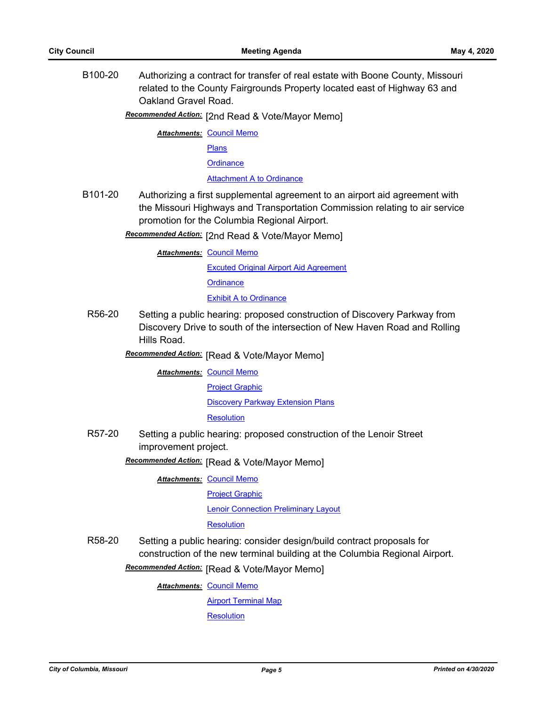B100-20 Authorizing a contract for transfer of real estate with Boone County, Missouri related to the County Fairgrounds Property located east of Highway 63 and Oakland Gravel Road.

Recommended Action: [2nd Read & Vote/Mayor Memo]

**Attachments: [Council Memo](http://gocolumbiamo.legistar.com/gateway.aspx?M=F&ID=2e999816-b9ad-4978-8703-d9db09fcf21b.docx)** 

[Plans](http://gocolumbiamo.legistar.com/gateway.aspx?M=F&ID=baece586-298d-4f56-88db-b7719ff2c1c6.pdf)

**[Ordinance](http://gocolumbiamo.legistar.com/gateway.aspx?M=F&ID=35453e72-1543-46dd-bb59-5c2bf4415fbb.doc)** 

[Attachment A to Ordinance](http://gocolumbiamo.legistar.com/gateway.aspx?M=F&ID=63d3d649-f92e-4d4c-b732-29c174ea7239.pdf)

B101-20 Authorizing a first supplemental agreement to an airport aid agreement with the Missouri Highways and Transportation Commission relating to air service promotion for the Columbia Regional Airport.

**Recommended Action:** [2nd Read & Vote/Mayor Memo]

**Attachments: [Council Memo](http://gocolumbiamo.legistar.com/gateway.aspx?M=F&ID=fa57b52b-d90e-4da7-8acd-6db84818d7f2.docx)** 

[Excuted Original Airport Aid Agreement](http://gocolumbiamo.legistar.com/gateway.aspx?M=F&ID=a59c2a07-3581-4a9b-8893-63bf7ef2e092.pdf)

**[Ordinance](http://gocolumbiamo.legistar.com/gateway.aspx?M=F&ID=b430eab5-df13-40cb-9a27-ecaea4e2a4b1.doc)** 

[Exhibit A to Ordinance](http://gocolumbiamo.legistar.com/gateway.aspx?M=F&ID=65e199b7-08a9-4bbf-94ed-d67231c4078d.pdf)

R56-20 Setting a public hearing: proposed construction of Discovery Parkway from Discovery Drive to south of the intersection of New Haven Road and Rolling Hills Road.

**Recommended Action:** [Read & Vote/Mayor Memo]

**Attachments: [Council Memo](http://gocolumbiamo.legistar.com/gateway.aspx?M=F&ID=45074304-8002-4319-b661-f9373f0368bf.docx)** 

[Project Graphic](http://gocolumbiamo.legistar.com/gateway.aspx?M=F&ID=29a7e5f7-8d44-44d8-97d2-fda7177418e3.jpg)

[Discovery Parkway Extension Plans](http://gocolumbiamo.legistar.com/gateway.aspx?M=F&ID=c5b292d0-693a-44da-9c63-59fcffd0b325.pdf)

**[Resolution](http://gocolumbiamo.legistar.com/gateway.aspx?M=F&ID=9b1a8d01-8d6d-43da-b3bb-00d3203f493d.doc)** 

R57-20 Setting a public hearing: proposed construction of the Lenoir Street improvement project.

**Recommended Action:** [Read & Vote/Mayor Memo]

**Attachments: [Council Memo](http://gocolumbiamo.legistar.com/gateway.aspx?M=F&ID=68edc3ed-27c0-492b-93f7-bafb73085ab1.docx)** 

[Project Graphic](http://gocolumbiamo.legistar.com/gateway.aspx?M=F&ID=8ce8e700-037a-496d-bc26-07763739b648.pdf)

**[Lenoir Connection Preliminary Layout](http://gocolumbiamo.legistar.com/gateway.aspx?M=F&ID=318ae610-0af6-4fe1-afde-4e4bd5840225.pdf)** 

#### **[Resolution](http://gocolumbiamo.legistar.com/gateway.aspx?M=F&ID=b273776b-5e55-4169-b2ad-ee6ccab19521.doc)**

R58-20 Setting a public hearing: consider design/build contract proposals for construction of the new terminal building at the Columbia Regional Airport. **Recommended Action:** [Read & Vote/Mayor Memo]

**Attachments: [Council Memo](http://gocolumbiamo.legistar.com/gateway.aspx?M=F&ID=c9ec0c22-a37f-4499-a814-3ed828f12735.docx)** 

**[Airport Terminal Map](http://gocolumbiamo.legistar.com/gateway.aspx?M=F&ID=1d80a611-aba1-4b6e-8450-d5eebe556267.pdf)** 

**[Resolution](http://gocolumbiamo.legistar.com/gateway.aspx?M=F&ID=fc06f5f6-2fca-48cf-8a55-6db074bb72cc.doc)**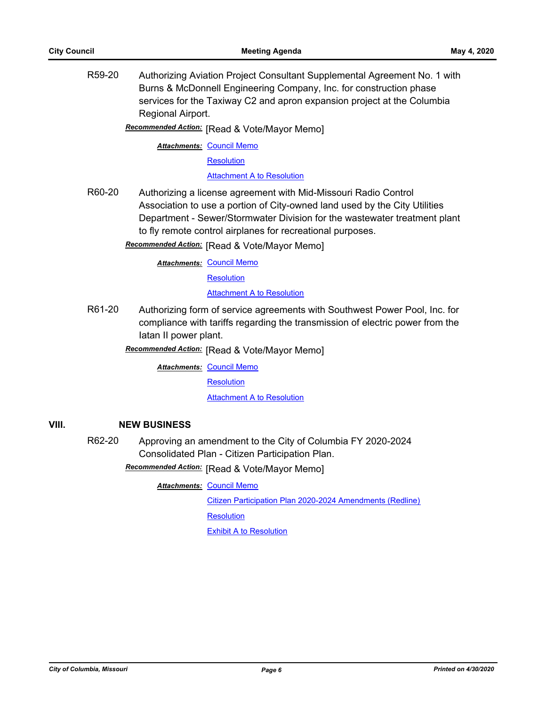R59-20 Authorizing Aviation Project Consultant Supplemental Agreement No. 1 with Burns & McDonnell Engineering Company, Inc. for construction phase services for the Taxiway C2 and apron expansion project at the Columbia Regional Airport.

**Recommended Action:** [Read & Vote/Mayor Memo]

**Attachments: [Council Memo](http://gocolumbiamo.legistar.com/gateway.aspx?M=F&ID=be52910e-c701-427e-80ce-e27e346f2999.docx)** 

**[Resolution](http://gocolumbiamo.legistar.com/gateway.aspx?M=F&ID=ae06d2af-b884-4ad0-a88c-c6d12358fd9e.doc)** 

**[Attachment A to Resolution](http://gocolumbiamo.legistar.com/gateway.aspx?M=F&ID=4e4e54e2-f3fb-4d57-8761-0cd7c08618cb.pdf)** 

R60-20 Authorizing a license agreement with Mid-Missouri Radio Control Association to use a portion of City-owned land used by the City Utilities Department - Sewer/Stormwater Division for the wastewater treatment plant to fly remote control airplanes for recreational purposes.

**Recommended Action:** [Read & Vote/Mayor Memo]

**Attachments: [Council Memo](http://gocolumbiamo.legistar.com/gateway.aspx?M=F&ID=670a70f8-510d-4716-b601-011f6d1b81ac.docx)** 

**[Resolution](http://gocolumbiamo.legistar.com/gateway.aspx?M=F&ID=17a48fde-4ae9-4df5-b9b6-e02ed8e227bd.doc)** 

**[Attachment A to Resolution](http://gocolumbiamo.legistar.com/gateway.aspx?M=F&ID=564c4577-4c83-4a58-8b20-c4ad6c316148.pdf)** 

R61-20 Authorizing form of service agreements with Southwest Power Pool, Inc. for compliance with tariffs regarding the transmission of electric power from the Iatan II power plant.

**Recommended Action:** [Read & Vote/Mayor Memo]

**Attachments: [Council Memo](http://gocolumbiamo.legistar.com/gateway.aspx?M=F&ID=9cd8e6c2-2500-42eb-9576-333f2db68084.docx)** 

**[Resolution](http://gocolumbiamo.legistar.com/gateway.aspx?M=F&ID=f22f8e6f-d9af-4bcd-a694-07e6b970a74e.doc)** 

**[Attachment A to Resolution](http://gocolumbiamo.legistar.com/gateway.aspx?M=F&ID=3e5ed452-2891-4151-bf9b-52135aed4938.docx)** 

## **VIII. NEW BUSINESS**

R62-20 Approving an amendment to the City of Columbia FY 2020-2024 Consolidated Plan - Citizen Participation Plan.

**Recommended Action:** [Read & Vote/Mayor Memo]

#### **Attachments: [Council Memo](http://gocolumbiamo.legistar.com/gateway.aspx?M=F&ID=4743af8c-3483-4319-94db-651551dfb5c5.docx)**

[Citizen Participation Plan 2020-2024 Amendments \(Redline\)](http://gocolumbiamo.legistar.com/gateway.aspx?M=F&ID=34ba63e7-a6c4-47f7-8450-3ef7a61ae367.pdf)

**[Resolution](http://gocolumbiamo.legistar.com/gateway.aspx?M=F&ID=8a1d5a5b-e443-44c0-a103-e9c1e362ce3f.doc)** 

[Exhibit A to Resolution](http://gocolumbiamo.legistar.com/gateway.aspx?M=F&ID=de59b10a-ab85-41ef-967a-603f16a50c70.docx)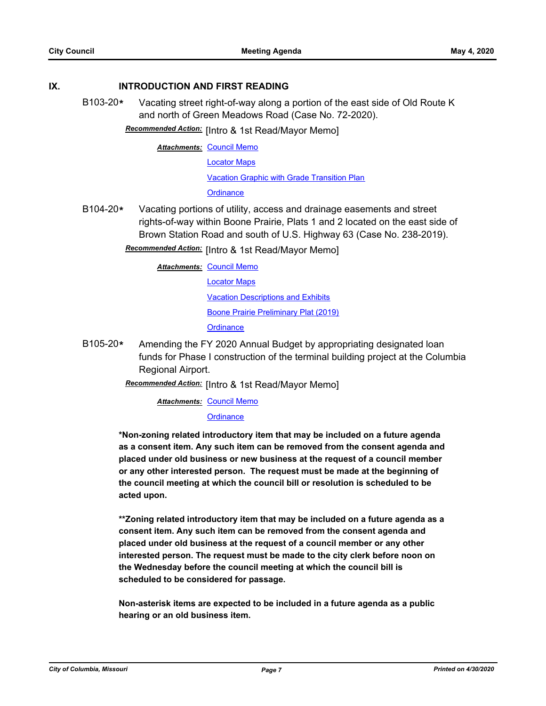## **IX. INTRODUCTION AND FIRST READING**

B103-20**\*** Vacating street right-of-way along a portion of the east side of Old Route K and north of Green Meadows Road (Case No. 72-2020).

**Recommended Action:** [Intro & 1st Read/Mayor Memo]

**Attachments: [Council Memo](http://gocolumbiamo.legistar.com/gateway.aspx?M=F&ID=93fc2ffe-da5a-4332-afca-f021b65cc0fd.docx)** 

[Locator Maps](http://gocolumbiamo.legistar.com/gateway.aspx?M=F&ID=c210d5f1-9141-42ea-8c1b-a30f18d1ea1e.pdf)

[Vacation Graphic with Grade Transition Plan](http://gocolumbiamo.legistar.com/gateway.aspx?M=F&ID=d5ae9d0b-e09e-4dba-bb4a-ccd10ddc03bb.pdf)

**[Ordinance](http://gocolumbiamo.legistar.com/gateway.aspx?M=F&ID=0fe5daa5-50e7-4538-8b69-19a72ddcd0cc.doc)** 

B104-20**\*** Vacating portions of utility, access and drainage easements and street rights-of-way within Boone Prairie, Plats 1 and 2 located on the east side of Brown Station Road and south of U.S. Highway 63 (Case No. 238-2019).

**Recommended Action:** [Intro & 1st Read/Mayor Memo]

**Attachments: [Council Memo](http://gocolumbiamo.legistar.com/gateway.aspx?M=F&ID=22bead84-bbe1-460d-9630-0244d972a27c.docx)** 

[Locator Maps](http://gocolumbiamo.legistar.com/gateway.aspx?M=F&ID=a6cf2781-8366-42d1-970c-32146377ed33.pdf) [Vacation Descriptions and Exhibits](http://gocolumbiamo.legistar.com/gateway.aspx?M=F&ID=76479b4f-6c3f-4f68-8c5b-af195f3e2098.pdf) [Boone Prairie Preliminary Plat \(2019\)](http://gocolumbiamo.legistar.com/gateway.aspx?M=F&ID=058d8e05-60a1-46a9-9486-826cd0bba793.pdf) **[Ordinance](http://gocolumbiamo.legistar.com/gateway.aspx?M=F&ID=f27d1c70-a624-4a64-b066-5d308270fc40.doc)** 

B105-20**\*** Amending the FY 2020 Annual Budget by appropriating designated loan funds for Phase I construction of the terminal building project at the Columbia Regional Airport.

Recommended Action: [Intro & 1st Read/Mayor Memo]

**Attachments: [Council Memo](http://gocolumbiamo.legistar.com/gateway.aspx?M=F&ID=e53a621b-6b5f-45b6-a0bf-63887515e002.docx)** 

#### **[Ordinance](http://gocolumbiamo.legistar.com/gateway.aspx?M=F&ID=41220610-57ab-4711-80da-48d518801cfc.doc)**

**\*Non-zoning related introductory item that may be included on a future agenda as a consent item. Any such item can be removed from the consent agenda and placed under old business or new business at the request of a council member or any other interested person. The request must be made at the beginning of the council meeting at which the council bill or resolution is scheduled to be acted upon.** 

**\*\*Zoning related introductory item that may be included on a future agenda as a consent item. Any such item can be removed from the consent agenda and placed under old business at the request of a council member or any other interested person. The request must be made to the city clerk before noon on the Wednesday before the council meeting at which the council bill is scheduled to be considered for passage.**

**Non-asterisk items are expected to be included in a future agenda as a public hearing or an old business item.**